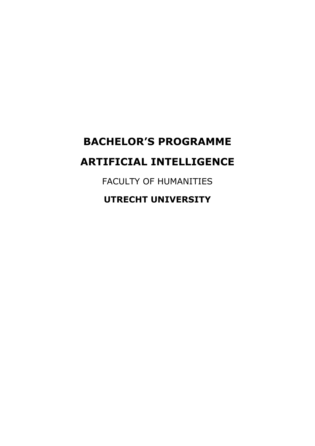# **BACHELOR'S PROGRAMME ARTIFICIAL INTELLIGENCE**

FACULTY OF HUMANITIES

**UTRECHT UNIVERSITY**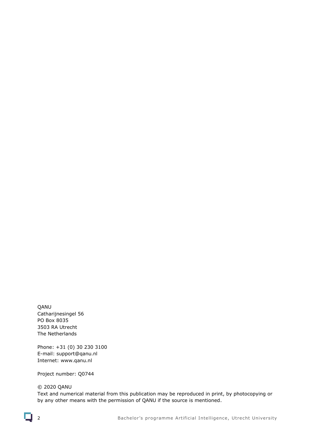QANU Catharijnesingel 56 PO Box 8035 3503 RA Utrecht The Netherlands

Phone: +31 (0) 30 230 3100 E-mail: support@qanu.nl Internet: www.qanu.nl

Project number: Q0744

#### © 2020 QANU

Text and numerical material from this publication may be reproduced in print, by photocopying or by any other means with the permission of QANU if the source is mentioned.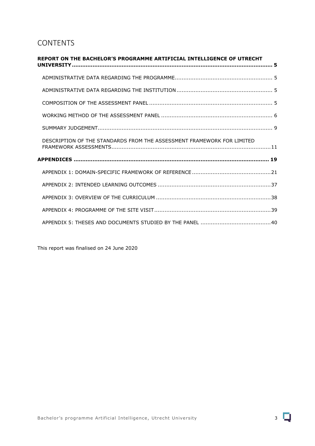# CONTENTS

| REPORT ON THE BACHELOR'S PROGRAMME ARTIFICIAL INTELLIGENCE OF UTRECHT  |  |
|------------------------------------------------------------------------|--|
|                                                                        |  |
|                                                                        |  |
|                                                                        |  |
|                                                                        |  |
|                                                                        |  |
| DESCRIPTION OF THE STANDARDS FROM THE ASSESSMENT FRAMEWORK FOR LIMITED |  |
|                                                                        |  |
|                                                                        |  |
|                                                                        |  |
|                                                                        |  |
|                                                                        |  |
|                                                                        |  |

This report was finalised on 24 June 2020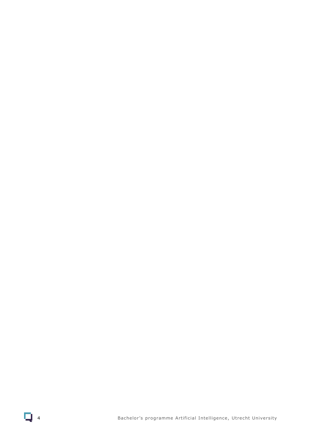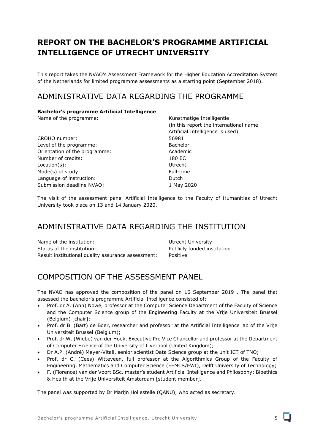# <span id="page-4-0"></span>**REPORT ON THE BACHELOR'S PROGRAMME ARTIFICIAL INTELLIGENCE OF UTRECHT UNIVERSITY**

This report takes the NVAO's Assessment Framework for the Higher Education Accreditation System of the Netherlands for limited programme assessments as a starting point (September 2018).

# <span id="page-4-1"></span>ADMINISTRATIVE DATA REGARDING THE PROGRAMME

# **Bachelor's programme Artificial Intelligence**

CROHO number: 56981 Level of the programme: Bachelor Orientation of the programme: Academic Number of credits: 180 EC Location(s): Utrecht Mode(s) of study: The study: Full-time Language of instruction: The Contraction of the Dutch Submission deadline NVAO: 1 May 2020

Name of the programme: The mass of the programme: The Municipality Runstmatige Intelligentie (in this report the international name Artificial Intelligence is used)

The visit of the assessment panel Artificial Intelligence to the Faculty of Humanities of Utrecht University took place on 13 and 14 January 2020.

# <span id="page-4-2"></span>ADMINISTRATIVE DATA REGARDING THE INSTITUTION

Name of the institution: Name of the institution: Status of the institution: The institution of the institution in the extended institution of the institution of the institution of the institution of the institution of the institution of the institution of the institution Result institutional quality assurance assessment: Positive

# <span id="page-4-3"></span>COMPOSITION OF THE ASSESSMENT PANEL

The NVAO has approved the composition of the panel on 16 September 2019 . The panel that assessed the bachelor's programme Artificial Intelligence consisted of:

- Prof. dr A. (Ann) Nowé, professor at the Computer Science Department of the Faculty of Science and the Computer Science group of the Engineering Faculty at the Vrije Universiteit Brussel (Belgium) [chair];
- Prof. dr B. (Bart) de Boer, researcher and professor at the Artificial Intelligence lab of the Vrije Universiteit Brussel (Belgium);
- Prof. dr W. (Wiebe) van der Hoek, Executive Pro Vice Chancellor and professor at the Department of Computer Science of the University of Liverpool (United Kingdom);
- Dr A.P. (André) Meyer-Vitali, senior scientist Data Science group at the unit ICT of TNO;
- Prof. dr C. (Cees) Witteveen, full professor at the Algorithmics Group of the Faculty of Engineering, Mathematics and Computer Science (EEMCS/EWI), Delft University of Technology;
- F. (Florence) van der Voort BSc, master's student Artificial Intelligence and Philosophy: Bioethics & Health at the Vrije Universiteit Amsterdam [student member].

The panel was supported by Dr Marijn Hollestelle (QANU), who acted as secretary.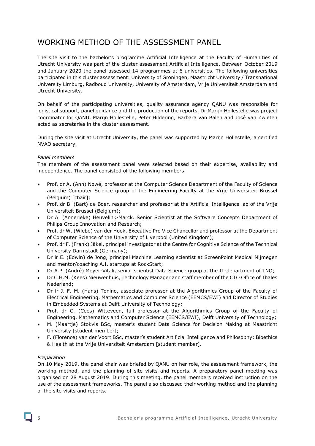# <span id="page-5-0"></span>WORKING METHOD OF THE ASSESSMENT PANEL

The site visit to the bachelor's programme Artificial Intelligence at the Faculty of Humanities of Utrecht University was part of the cluster assessment Artificial Intelligence. Between October 2019 and January 2020 the panel assessed 14 programmes at 6 universities. The following universities participated in this cluster assessment: University of Groningen, Maastricht University / Transnational University Limburg, Radboud University, University of Amsterdam, Vrije Universiteit Amsterdam and Utrecht University.

On behalf of the participating universities, quality assurance agency QANU was responsible for logistical support, panel guidance and the production of the reports. Dr Marijn Hollestelle was project coordinator for QANU. Marijn Hollestelle, Peter Hildering, Barbara van Balen and José van Zwieten acted as secretaries in the cluster assessment.

During the site visit at Utrecht University, the panel was supported by Marijn Hollestelle, a certified NVAO secretary.

# *Panel members*

The members of the assessment panel were selected based on their expertise, availability and independence. The panel consisted of the following members:

- Prof. dr A. (Ann) Nowé, professor at the Computer Science Department of the Faculty of Science and the Computer Science group of the Engineering Faculty at the Vrije Universiteit Brussel (Belgium) [chair];
- Prof. dr B. (Bart) de Boer, researcher and professor at the Artificial Intelligence lab of the Vrije Universiteit Brussel (Belgium);
- Dr A. (Annerieke) Heuvelink-Marck. Senior Scientist at the Software Concepts Department of Philips Group Innovation and Research;
- Prof. dr W. (Wiebe) van der Hoek, Executive Pro Vice Chancellor and professor at the Department of Computer Science of the University of Liverpool (United Kingdom);
- Prof. dr F. (Frank) Jäkel, principal investigator at the Centre for Cognitive Science of the Technical University Darmstadt (Germany);
- Dr ir E. (Edwin) de Jong, principal Machine Learning scientist at ScreenPoint Medical Nijmegen and mentor/coaching A.I. startups at RockStart;
- Dr A.P. (André) Meyer-Vitali, senior scientist Data Science group at the IT-department of TNO;
- Dr C.H.M. (Kees) Nieuwenhuis, Technology Manager and staff member of the CTO Office of Thales Nederland;
- Dr ir J. F. M. (Hans) Tonino, associate professor at the Algorithmics Group of the Faculty of Electrical Engineering, Mathematics and Computer Science (EEMCS/EWI) and Director of Studies in Embedded Systems at Delft University of Technology;
- Prof. dr C. (Cees) Witteveen, full professor at the Algorithmics Group of the Faculty of Engineering, Mathematics and Computer Science (EEMCS/EWI), Delft University of Technology;
- M. (Maartje) Stokvis BSc, master's student Data Science for Decision Making at Maastricht University [student member];
- F. (Florence) van der Voort BSc, master's student Artificial Intelligence and Philosophy: Bioethics & Health at the Vrije Universiteit Amsterdam [student member].

# *Preparation*

On 10 May 2019, the panel chair was briefed by QANU on her role, the assessment framework, the working method, and the planning of site visits and reports. A preparatory panel meeting was organised on 28 August 2019. During this meeting, the panel members received instruction on the use of the assessment frameworks. The panel also discussed their working method and the planning of the site visits and reports.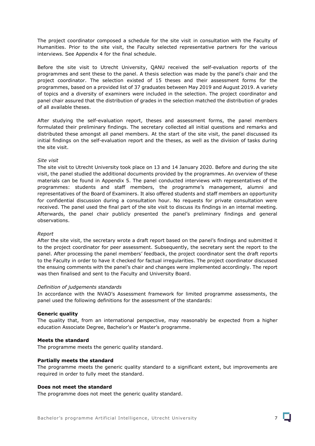The project coordinator composed a schedule for the site visit in consultation with the Faculty of Humanities. Prior to the site visit, the Faculty selected representative partners for the various interviews. See Appendix 4 for the final schedule.

Before the site visit to Utrecht University, QANU received the self-evaluation reports of the programmes and sent these to the panel. A thesis selection was made by the panel's chair and the project coordinator. The selection existed of 15 theses and their assessment forms for the programmes, based on a provided list of 37 graduates between May 2019 and August 2019. A variety of topics and a diversity of examiners were included in the selection. The project coordinator and panel chair assured that the distribution of grades in the selection matched the distribution of grades of all available theses.

After studying the self-evaluation report, theses and assessment forms, the panel members formulated their preliminary findings. The secretary collected all initial questions and remarks and distributed these amongst all panel members. At the start of the site visit, the panel discussed its initial findings on the self-evaluation report and the theses, as well as the division of tasks during the site visit.

#### *Site visit*

The site visit to Utrecht University took place on 13 and 14 January 2020. Before and during the site visit, the panel studied the additional documents provided by the programmes. An overview of these materials can be found in Appendix 5. The panel conducted interviews with representatives of the programmes: students and staff members, the programme's management, alumni and representatives of the Board of Examiners. It also offered students and staff members an opportunity for confidential discussion during a consultation hour. No requests for private consultation were received. The panel used the final part of the site visit to discuss its findings in an internal meeting. Afterwards, the panel chair publicly presented the panel's preliminary findings and general observations.

#### *Report*

After the site visit, the secretary wrote a draft report based on the panel's findings and submitted it to the project coordinator for peer assessment. Subsequently, the secretary sent the report to the panel. After processing the panel members' feedback, the project coordinator sent the draft reports to the Faculty in order to have it checked for factual irregularities. The project coordinator discussed the ensuing comments with the panel's chair and changes were implemented accordingly. The report was then finalised and sent to the Faculty and University Board.

#### *Definition of judgements standards*

In accordance with the NVAO's Assessment framework for limited programme assessments, the panel used the following definitions for the assessment of the standards:

#### **Generic quality**

The quality that, from an international perspective, may reasonably be expected from a higher education Associate Degree, Bachelor's or Master's programme.

#### **Meets the standard**

The programme meets the generic quality standard.

#### **Partially meets the standard**

The programme meets the generic quality standard to a significant extent, but improvements are required in order to fully meet the standard.

#### **Does not meet the standard**

The programme does not meet the generic quality standard.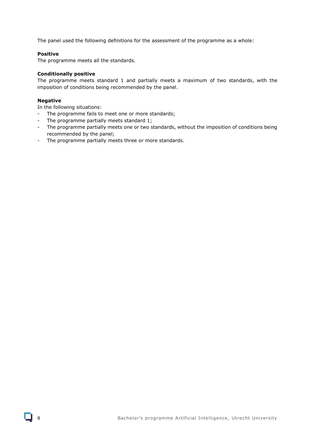The panel used the following definitions for the assessment of the programme as a whole:

# **Positive**

The programme meets all the standards.

#### **Conditionally positive**

The programme meets standard 1 and partially meets a maximum of two standards, with the imposition of conditions being recommended by the panel.

### **Negative**

In the following situations:

- The programme fails to meet one or more standards;
- The programme partially meets standard 1;
- The programme partially meets one or two standards, without the imposition of conditions being recommended by the panel;
- The programme partially meets three or more standards.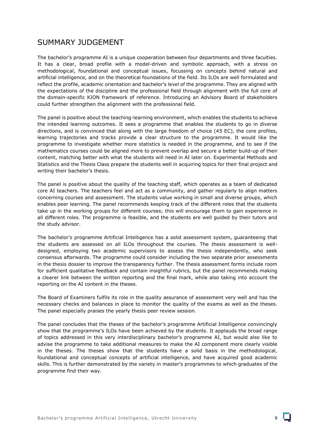# <span id="page-8-0"></span>SUMMARY JUDGEMENT

The bachelor's programme AI is a unique cooperation between four departments and three faculties. It has a clear, broad profile with a model-driven and symbolic approach, with a stress on methodological, foundational and conceptual issues, focussing on concepts behind natural and artificial intelligence, and on the theoretical foundations of the field. Its ILOs are well formulated and reflect the profile, academic orientation and bachelor's level of the programme. They are aligned with the expectations of the discipline and the professional field through alignment with the full core of the domain-specific KION framework of reference. Introducing an Advisory Board of stakeholders could further strengthen the alignment with the professional field.

The panel is positive about the teaching-learning environment, which enables the students to achieve the intended learning outcomes. It sees a programme that enables the students to go in diverse directions, and is convinced that along with the large freedom of choice (45 EC), the core profiles, learning trajectories and tracks provide a clear structure to the programme. It would like the programme to investigate whether more statistics is needed in the programme, and to see if the mathematics courses could be aligned more to prevent overlap and secure a better build-up of their content, matching better with what the students will need in AI later on. Experimental Methods and Statistics and the Thesis Class prepare the students well in acquiring topics for their final project and writing their bachelor's thesis.

The panel is positive about the quality of the teaching staff, which operates as a team of dedicated core AI teachers. The teachers feel and act as a community, and gather regularly to align matters concerning courses and assessment. The students value working in small and diverse groups, which enables peer learning. The panel recommends keeping track of the different roles that the students take up in the working groups for different courses; this will encourage them to gain experience in all different roles. The programme is feasible, and the students are well guided by their tutors and the study advisor.

The bachelor's programme Artificial Intelligence has a solid assessment system, guaranteeing that the students are assessed on all ILOs throughout the courses. The thesis assessment is welldesigned, employing two academic supervisors to assess the thesis independently, who seek consensus afterwards. The programme could consider including the two separate prior assessments in the thesis dossier to improve the transparency further. The thesis assessment forms include room for sufficient qualitative feedback and contain insightful rubrics, but the panel recommends making a clearer link between the written reporting and the final mark, while also taking into account the reporting on the AI content in the theses.

The Board of Examiners fulfils its role in the quality assurance of assessment very well and has the necessary checks and balances in place to monitor the quality of the exams as well as the theses. The panel especially praises the yearly thesis peer review session.

The panel concludes that the theses of the bachelor's programme Artificial Intelligence convincingly show that the programme's ILOs have been achieved by the students. It applauds the broad range of topics addressed in this very interdisciplinary bachelor's programme AI, but would also like to advise the programme to take additional measures to make the AI component more clearly visible in the theses. The theses show that the students have a solid basis in the methodological, foundational and conceptual concepts of artificial intelligence, and have acquired good academic skills. This is further demonstrated by the variety in master's programmes to which graduates of the programme find their way.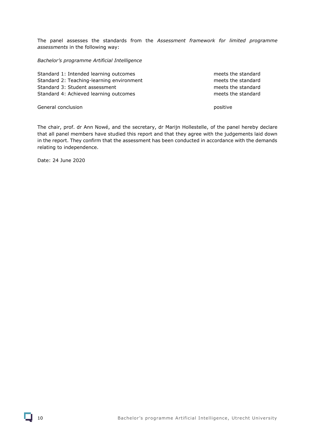The panel assesses the standards from the *Assessment framework for limited programme assessments* in the following way:

*Bachelor's programme Artificial Intelligence*

| Standard 1: Intended learning outcomes    | meets the standard |
|-------------------------------------------|--------------------|
| Standard 2: Teaching-learning environment | meets the standard |
| Standard 3: Student assessment            | meets the standard |
| Standard 4: Achieved learning outcomes    | meets the standard |
| General conclusion                        | positive           |

The chair, prof. dr Ann Nowé, and the secretary, dr Marijn Hollestelle, of the panel hereby declare that all panel members have studied this report and that they agree with the judgements laid down in the report. They confirm that the assessment has been conducted in accordance with the demands relating to independence.

Date: 24 June 2020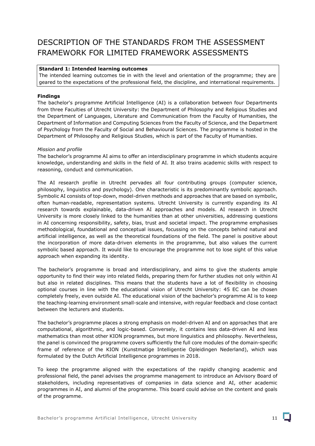# <span id="page-10-0"></span>DESCRIPTION OF THE STANDARDS FROM THE ASSESSMENT FRAMEWORK FOR LIMITED FRAMEWORK ASSESSMENTS

# **Standard 1: Intended learning outcomes**

The intended learning outcomes tie in with the level and orientation of the programme; they are geared to the expectations of the professional field, the discipline, and international requirements.

#### **Findings**

The bachelor's programme Artificial Intelligence (AI) is a collaboration between four Departments from three Faculties of Utrecht University: the Department of Philosophy and Religious Studies and the Department of Languages, Literature and Communication from the Faculty of Humanities, the Department of Information and Computing Sciences from the Faculty of Science, and the Department of Psychology from the Faculty of Social and Behavioural Sciences. The programme is hosted in the Department of Philosophy and Religious Studies, which is part of the Faculty of Humanities.

#### *Mission and profile*

The bachelor's programme AI aims to offer an interdisciplinary programme in which students acquire knowledge, understanding and skills in the field of AI. It also trains academic skills with respect to reasoning, conduct and communication.

The AI research profile in Utrecht pervades all four contributing groups (computer science, philosophy, linguistics and psychology). One characteristic is its predominantly symbolic approach. Symbolic AI consists of top-down, model-driven methods and approaches that are based on symbolic, often human-readable, representation systems. Utrecht University is currently expanding its AI research towards explainable, data-driven AI approaches and models. AI research in Utrecht University is more closely linked to the humanities than at other universities, addressing questions in AI concerning responsibility, safety, bias, trust and societal impact. The programme emphasises methodological, foundational and conceptual issues, focussing on the concepts behind natural and artificial intelligence, as well as the theoretical foundations of the field. The panel is positive about the incorporation of more data-driven elements in the programme, but also values the current symbolic based approach. It would like to encourage the programme not to lose sight of this value approach when expanding its identity.

The bachelor's programme is broad and interdisciplinary, and aims to give the students ample opportunity to find their way into related fields, preparing them for further studies not only within AI but also in related disciplines. This means that the students have a lot of flexibility in choosing optional courses in line with the educational vision of Utrecht University: 45 EC can be chosen completely freely, even outside AI. The educational vision of the bachelor's programme AI is to keep the teaching-learning environment small-scale and intensive, with regular feedback and close contact between the lecturers and students.

The bachelor's programme places a strong emphasis on model-driven AI and on approaches that are computational, algorithmic, and logic-based. Conversely, it contains less data-driven AI and less mathematics than most other KION programmes, but more linguistics and philosophy. Nevertheless, the panel is convinced the programme covers sufficiently the full core modules of the domain-specific frame of reference of the KION (Kunstmatige Intelligentie Opleidingen Nederland), which was formulated by the Dutch Artificial Intelligence programmes in 2018.

To keep the programme aligned with the expectations of the rapidly changing academic and professional field, the panel advises the programme management to introduce an Advisory Board of stakeholders, including representatives of companies in data science and AI, other academic programmes in AI, and alumni of the programme. This board could advise on the content and goals of the programme.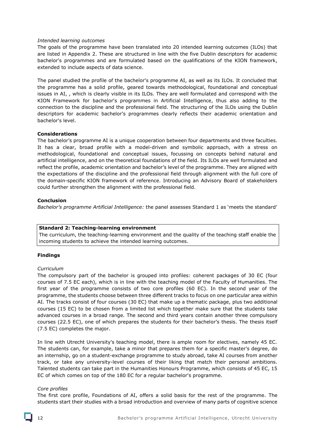#### *Intended learning outcomes*

The goals of the programme have been translated into 20 intended learning outcomes (ILOs) that are listed in Appendix 2. These are structured in line with the five Dublin descriptors for academic bachelor's programmes and are formulated based on the qualifications of the KION framework, extended to include aspects of data science.

The panel studied the profile of the bachelor's programme AI, as well as its ILOs. It concluded that the programme has a solid profile, geared towards methodological, foundational and conceptual issues in AI, , which is clearly visible in its ILOs. They are well formulated and correspond with the KION Framework for bachelor's programmes in Artificial Intelligence, thus also adding to the connection to the discipline and the professional field. The structuring of the ILOs using the Dublin descriptors for academic bachelor's programmes clearly reflects their academic orientation and bachelor's level.

### **Considerations**

The bachelor's programme AI is a unique cooperation between four departments and three faculties. It has a clear, broad profile with a model-driven and symbolic approach, with a stress on methodological, foundational and conceptual issues, focussing on concepts behind natural and artificial intelligence, and on the theoretical foundations of the field. Its ILOs are well formulated and reflect the profile, academic orientation and bachelor's level of the programme. They are aligned with the expectations of the discipline and the professional field through alignment with the full core of the domain-specific KION framework of reference. Introducing an Advisory Board of stakeholders could further strengthen the alignment with the professional field.

### **Conclusion**

*Bachelor's programme Artificial Intelligence:* the panel assesses Standard 1 as 'meets the standard'

# **Standard 2: Teaching-learning environment**

The curriculum, the teaching-learning environment and the quality of the teaching staff enable the incoming students to achieve the intended learning outcomes.

# **Findings**

#### *Curriculum*

The compulsory part of the bachelor is grouped into profiles: coherent packages of 30 EC (four courses of 7.5 EC each), which is in line with the teaching model of the Faculty of Humanities. The first year of the programme consists of two core profiles (60 EC). In the second year of the programme, the students choose between three different tracks to focus on one particular area within AI. The tracks consist of four courses (30 EC) that make up a thematic package, plus two additional courses (15 EC) to be chosen from a limited list which together make sure that the students take advanced courses in a broad range. The second and third years contain another three compulsory courses (22.5 EC), one of which prepares the students for their bachelor's thesis. The thesis itself (7.5 EC) completes the major.

In line with Utrecht University's teaching model, there is ample room for electives, namely 45 EC. The students can, for example, take a minor that prepares them for a specific master's degree, do an internship, go on a student-exchange programme to study abroad, take AI courses from another track, or take any university-level courses of their liking that match their personal ambitions. Talented students can take part in the Humanities Honours Programme, which consists of 45 EC, 15 EC of which comes on top of the 180 EC for a regular bachelor's programme.

#### *Core profiles*

The first core profile, Foundations of AI, offers a solid basis for the rest of the programme. The students start their studies with a broad introduction and overview of many parts of cognitive science

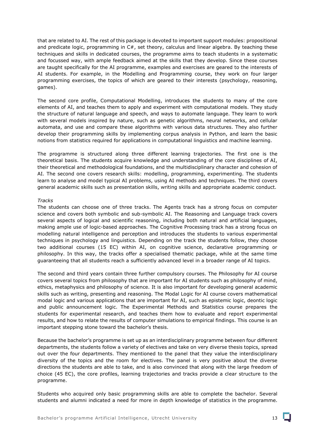that are related to AI. The rest of this package is devoted to important support modules: propositional and predicate logic, programming in  $C#$ , set theory, calculus and linear algebra. By teaching these techniques and skills in dedicated courses, the programme aims to teach students in a systematic and focussed way, with ample feedback aimed at the skills that they develop. Since these courses are taught specifically for the AI programme, examples and exercises are geared to the interests of AI students. For example, in the Modelling and Programming course, they work on four larger programming exercises, the topics of which are geared to their interests (psychology, reasoning, games).

The second core profile, Computational Modelling, introduces the students to many of the core elements of AI, and teaches them to apply and experiment with computational models. They study the structure of natural language and speech, and ways to automate language. They learn to work with several models inspired by nature, such as genetic algorithms, neural networks, and cellular automata, and use and compare these algorithms with various data structures. They also further develop their programming skills by implementing corpus analysis in Python, and learn the basic notions from statistics required for applications in computational linguistics and machine learning.

The programme is structured along three different learning trajectories. The first one is the theoretical basis. The students acquire knowledge and understanding of the core disciplines of AI, their theoretical and methodological foundations, and the multidisciplinary character and cohesion of AI. The second one covers research skills: modelling, programming, experimenting. The students learn to analyse and model typical AI problems, using AI methods and techniques. The third covers general academic skills such as presentation skills, writing skills and appropriate academic conduct.

#### *Tracks*

The students can choose one of three tracks. The Agents track has a strong focus on computer science and covers both symbolic and sub-symbolic AI. The Reasoning and Language track covers several aspects of logical and scientific reasoning, including both natural and artificial languages, making ample use of logic-based approaches. The Cognitive Processing track has a strong focus on modelling natural intelligence and perception and introduces the students to various experimental techniques in psychology and linguistics. Depending on the track the students follow, they choose two additional courses (15 EC) within AI, on cognitive science, declarative programming or philosophy. In this way, the tracks offer a specialised thematic package, while at the same time guaranteeing that all students reach a sufficiently advanced level in a broader range of AI topics.

The second and third years contain three further compulsory courses. The Philosophy for AI course covers several topics from philosophy that are important for AI students such as philosophy of mind, ethics, metaphysics and philosophy of science. It is also important for developing general academic skills such as writing, presenting and reasoning. The Modal Logic for AI course covers mathematical modal logic and various applications that are important for AI, such as epistemic logic, deontic logic and public announcement logic. The Experimental Methods and Statistics course prepares the students for experimental research, and teaches them how to evaluate and report experimental results, and how to relate the results of computer simulations to empirical findings. This course is an important stepping stone toward the bachelor's thesis.

Because the bachelor's programme is set up as an interdisciplinary programme between four different departments, the students follow a variety of electives and take on very diverse thesis topics, spread out over the four departments. They mentioned to the panel that they value the interdisciplinary diversity of the topics and the room for electives. The panel is very positive about the diverse directions the students are able to take, and is also convinced that along with the large freedom of choice (45 EC), the core profiles, learning trajectories and tracks provide a clear structure to the programme.

Students who acquired only basic programming skills are able to complete the bachelor. Several students and alumni indicated a need for more in depth knowledge of statistics in the programme.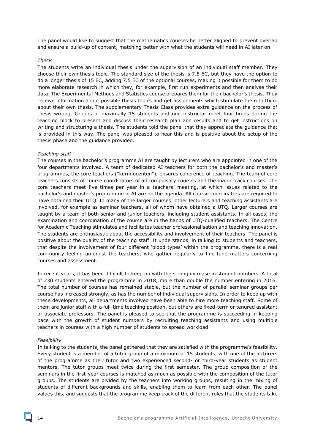The panel would like to suggest that the mathematics courses be better aligned to prevent overlap and ensure a build-up of content, matching better with what the students will need in AI later on.

#### *Thesis*

The students write an individual thesis under the supervision of an individual staff member. They choose their own thesis topic. The standard size of the thesis is 7.5 EC, but they have the option to do a longer thesis of 15 EC, adding 7.5 EC of the optional courses, making it possible for them to do more elaborate research in which they, for example, first run experiments and then analyse their data. The Experimental Methods and Statistics course prepares them for their bachelor's thesis. They receive information about possible thesis topics and get assignments which stimulate them to think about their own thesis. The supplementary Thesis Class provides extra guidance on the process of thesis writing. Groups of maximally 15 students and one instructor meet four times during the teaching block to present and discuss their research plan and results and to get instructions on writing and structuring a thesis. The students told the panel that they appreciate the guidance that is provided in this way. The panel was pleased to hear this and is positive about the setup of the thesis phase and the guidance provided.

### *Teaching staff*

The courses in the bachelor's programme AI are taught by lecturers who are appointed in one of the four departments involved. A team of dedicated AI teachers for both the bachelor's and master's programmes, the core teachers ("kerndocenten"), ensures coherence of teaching. The team of core teachers consists of course coordinators of all compulsory courses and the major track courses. The core teachers meet five times per year in a teachers' meeting, at which issues related to the bachelor's and master's programme in AI are on the agenda. All course coordinators are required to have obtained their UTQ. In many of the larger courses, other lecturers and teaching assistants are involved, for example as seminar teachers, all of whom have obtained a UTQ. Larger courses are taught by a team of both senior and junior teachers, including student assistants. In all cases, the examination and coordination of the course are in the hands of UTQ-qualified teachers. The Centre for Academic Teaching stimulates and facilitates teacher professionalisation and teaching innovation. The students are enthusiastic about the accessibility and involvement of their teachers. The panel is positive about the quality of the teaching staff. It understands, in talking to students and teachers, that despite the involvement of four different 'blood types' within the programme, there is a real community feeling amongst the teachers, who gather regularly to fine-tune matters concerning courses and assessment.

In recent years, it has been difficult to keep up with the strong increase in student numbers. A total of 230 students entered the programme in 2018, more than double the number entering in 2016. The total number of courses has remained stable, but the number of parallel seminar groups per course has increased strongly, as has the number of individual supervisions. In order to keep up with these developments, all departments involved have been able to hire more teaching staff. Some of them are junior staff with a full-time teaching position, but others are fixed-term or tenured assistant or associate professors. The panel is pleased to see that the programme is succeeding in keeping pace with the growth of student numbers by recruiting teaching assistants and using multiple teachers in courses with a high number of students to spread workload.

#### *Feasibility*

In talking to the students, the panel gathered that they are satisfied with the programme's feasibility. Every student is a member of a tutor group of a maximum of 15 students, with one of the lecturers of the programme as their tutor and two experienced second- or third-year students as student mentors. The tutor groups meet twice during the first semester. The group composition of the seminars in the first-year courses is matched as much as possible with the composition of the tutor groups. The students are divided by the teachers into working groups, resulting in the mixing of students of different backgrounds and skills, enabling them to learn from each other. The panel values this, and suggests that the programme keep track of the different roles that the students take

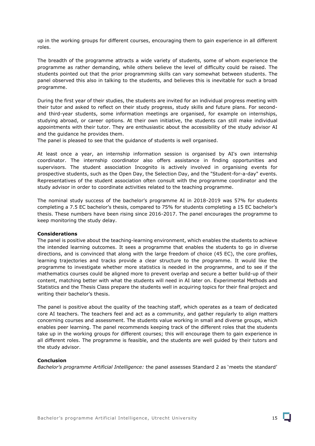up in the working groups for different courses, encouraging them to gain experience in all different roles.

The breadth of the programme attracts a wide variety of students, some of whom experience the programme as rather demanding, while others believe the level of difficulty could be raised. The students pointed out that the prior programming skills can vary somewhat between students. The panel observed this also in talking to the students, and believes this is inevitable for such a broad programme.

During the first year of their studies, the students are invited for an individual progress meeting with their tutor and asked to reflect on their study progress, study skills and future plans. For secondand third-year students, some information meetings are organised, for example on internships, studying abroad, or career options. At their own initiative, the students can still make individual appointments with their tutor. They are enthusiastic about the accessibility of the study advisor AI and the guidance he provides them.

The panel is pleased to see that the guidance of students is well organised.

At least once a year, an internship information session is organised by AI's own internship coordinator. The internship coordinator also offers assistance in finding opportunities and supervisors. The student association Incognito is actively involved in organising events for prospective students, such as the Open Day, the Selection Day, and the "Student-for-a-day" events. Representatives of the student association often consult with the programme coordinator and the study advisor in order to coordinate activities related to the teaching programme.

The nominal study success of the bachelor's programme AI in 2018-2019 was 57% for students completing a 7.5 EC bachelor's thesis, compared to 75% for students completing a 15 EC bachelor's thesis. These numbers have been rising since 2016-2017. The panel encourages the programme to keep monitoring the study delay.

#### **Considerations**

The panel is positive about the teaching-learning environment, which enables the students to achieve the intended learning outcomes. It sees a programme that enables the students to go in diverse directions, and is convinced that along with the large freedom of choice (45 EC), the core profiles, learning trajectories and tracks provide a clear structure to the programme. It would like the programme to investigate whether more statistics is needed in the programme, and to see if the mathematics courses could be aligned more to prevent overlap and secure a better build-up of their content, matching better with what the students will need in AI later on. Experimental Methods and Statistics and the Thesis Class prepare the students well in acquiring topics for their final project and writing their bachelor's thesis.

The panel is positive about the quality of the teaching staff, which operates as a team of dedicated core AI teachers. The teachers feel and act as a community, and gather regularly to align matters concerning courses and assessment. The students value working in small and diverse groups, which enables peer learning. The panel recommends keeping track of the different roles that the students take up in the working groups for different courses; this will encourage them to gain experience in all different roles. The programme is feasible, and the students are well guided by their tutors and the study advisor.

#### **Conclusion**

*Bachelor's programme Artificial Intelligence:* the panel assesses Standard 2 as 'meets the standard'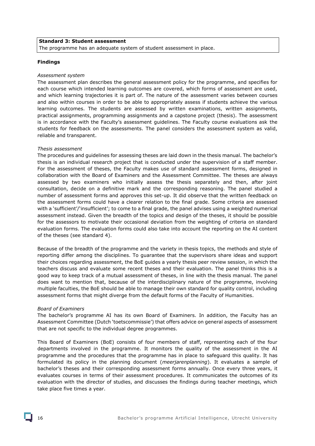# **Standard 3: Student assessment**

The programme has an adequate system of student assessment in place.

#### **Findings**

#### *Assessment system*

The assessment plan describes the general assessment policy for the programme, and specifies for each course which intended learning outcomes are covered, which forms of assessment are used, and which learning trajectories it is part of. The nature of the assessment varies between courses and also within courses in order to be able to appropriately assess if students achieve the various learning outcomes. The students are assessed by written examinations, written assignments, practical assignments, programming assignments and a capstone project (thesis). The assessment is in accordance with the Faculty's assessment guidelines. The Faculty course evaluations ask the students for feedback on the assessments. The panel considers the assessment system as valid, reliable and transparent.

#### *Thesis assessment*

The procedures and guidelines for assessing theses are laid down in the thesis manual. The bachelor's thesis is an individual research project that is conducted under the supervision of a staff member. For the assessment of theses, the Faculty makes use of standard assessment forms, designed in collaboration with the Board of Examiners and the Assessment Committee. The theses are always assessed by two examiners who initially assess the thesis separately and then, after joint consultation, decide on a definitive mark and the corresponding reasoning. The panel studied a number of assessment forms and approves this set-up. It did observe that the written feedback on the assessment forms could have a clearer relation to the final grade. Some criteria are assessed with a 'sufficient'/'insufficient'; to come to a final grade, the panel advises using a weighted numerical assessment instead. Given the breadth of the topics and design of the theses, it should be possible for the assessors to motivate their occasional deviation from the weighting of criteria on standard evaluation forms. The evaluation forms could also take into account the reporting on the AI content of the theses (see standard 4).

Because of the breadth of the programme and the variety in thesis topics, the methods and style of reporting differ among the disciplines. To guarantee that the supervisors share ideas and support their choices regarding assessment, the BoE guides a yearly thesis peer review session, in which the teachers discuss and evaluate some recent theses and their evaluation. The panel thinks this is a good way to keep track of a mutual assessment of theses, in line with the thesis manual. The panel does want to mention that, because of the interdisciplinary nature of the programme, involving multiple faculties, the BoE should be able to manage their own standard for quality control, including assessment forms that might diverge from the default forms of the Faculty of Humanities.

#### *Board of Examiners*

The bachelor's programme AI has its own Board of Examiners. In addition, the Faculty has an Assessment Committee (Dutch 'toetscommissie') that offers advice on general aspects of assessment that are not specific to the individual degree programmes.

This Board of Examiners (BoE) consists of four members of staff, representing each of the four departments involved in the programme. It monitors the quality of the assessment in the AI programme and the procedures that the programme has in place to safeguard this quality. It has formulated its policy in the planning document (*meerjarenplanning*). It evaluates a sample of bachelor's theses and their corresponding assessment forms annually. Once every three years, it evaluates courses in terms of their assessment procedures. It communicates the outcomes of its evaluation with the director of studies, and discusses the findings during teacher meetings, which take place five times a year.

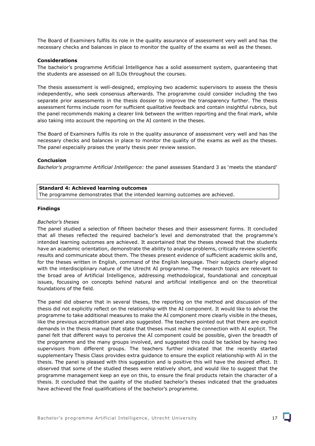The Board of Examiners fulfils its role in the quality assurance of assessment very well and has the necessary checks and balances in place to monitor the quality of the exams as well as the theses.

#### **Considerations**

The bachelor's programme Artificial Intelligence has a solid assessment system, guaranteeing that the students are assessed on all ILOs throughout the courses.

The thesis assessment is well-designed, employing two academic supervisors to assess the thesis independently, who seek consensus afterwards. The programme could consider including the two separate prior assessments in the thesis dossier to improve the transparency further. The thesis assessment forms include room for sufficient qualitative feedback and contain insightful rubrics, but the panel recommends making a clearer link between the written reporting and the final mark, while also taking into account the reporting on the AI content in the theses.

The Board of Examiners fulfils its role in the quality assurance of assessment very well and has the necessary checks and balances in place to monitor the quality of the exams as well as the theses. The panel especially praises the yearly thesis peer review session.

#### **Conclusion**

*Bachelor's programme Artificial Intelligence:* the panel assesses Standard 3 as 'meets the standard'

#### **Standard 4: Achieved learning outcomes**

The programme demonstrates that the intended learning outcomes are achieved.

#### **Findings**

#### *Bachelor's theses*

The panel studied a selection of fifteen bachelor theses and their assessment forms. It concluded that all theses reflected the required bachelor's level and demonstrated that the programme's intended learning outcomes are achieved. It ascertained that the theses showed that the students have an academic orientation, demonstrate the ability to analyse problems, critically review scientific results and communicate about them. The theses present evidence of sufficient academic skills and, for the theses written in English, command of the English language. Their subjects clearly aligned with the interdisciplinary nature of the Utrecht AI programme. The research topics are relevant to the broad area of Artificial Intelligence, addressing methodological, foundational and conceptual issues, focussing on concepts behind natural and artificial intelligence and on the theoretical foundations of the field.

The panel did observe that in several theses, the reporting on the method and discussion of the thesis did not explicitly reflect on the relationship with the AI component. It would like to advise the programme to take additional measures to make the AI component more clearly visible in the theses, like the previous accreditation panel also suggested. The teachers pointed out that there are explicit demands in the thesis manual that state that theses must make the connection with AI explicit. The panel felt that different ways to perceive the AI component could be possible, given the breadth of the programme and the many groups involved, and suggested this could be tackled by having two supervisors from different groups. The teachers further indicated that the recently started supplementary Thesis Class provides extra guidance to ensure the explicit relationship with AI in the thesis. The panel is pleased with this suggestion and is positive this will have the desired effect. It observed that some of the studied theses were relatively short, and would like to suggest that the programme management keep an eye on this, to ensure the final products retain the character of a thesis. It concluded that the quality of the studied bachelor's theses indicated that the graduates have achieved the final qualifications of the bachelor's programme.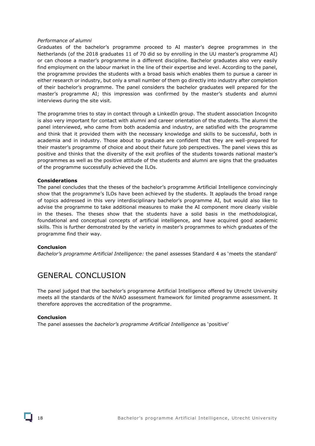#### *Performance of alumni*

Graduates of the bachelor's programme proceed to AI master's degree programmes in the Netherlands (of the 2018 graduates 11 of 70 did so by enrolling in the UU master's programme AI) or can choose a master's programme in a different discipline. Bachelor graduates also very easily find employment on the labour market in the line of their expertise and level. According to the panel, the programme provides the students with a broad basis which enables them to pursue a career in either research or industry, but only a small number of them go directly into industry after completion of their bachelor's programme. The panel considers the bachelor graduates well prepared for the master's programme AI; this impression was confirmed by the master's students and alumni interviews during the site visit.

The programme tries to stay in contact through a LinkedIn group. The student association Incognito is also very important for contact with alumni and career orientation of the students. The alumni the panel interviewed, who came from both academia and industry, are satisfied with the programme and think that it provided them with the necessary knowledge and skills to be successful, both in academia and in industry. Those about to graduate are confident that they are well-prepared for their master's programme of choice and about their future job perspectives. The panel views this as positive and thinks that the diversity of the exit profiles of the students towards national master's programmes as well as the positive attitude of the students and alumni are signs that the graduates of the programme successfully achieved the ILOs.

### **Considerations**

The panel concludes that the theses of the bachelor's programme Artificial Intelligence convincingly show that the programme's ILOs have been achieved by the students. It applauds the broad range of topics addressed in this very interdisciplinary bachelor's programme AI, but would also like to advise the programme to take additional measures to make the AI component more clearly visible in the theses. The theses show that the students have a solid basis in the methodological, foundational and conceptual concepts of artificial intelligence, and have acquired good academic skills. This is further demonstrated by the variety in master's programmes to which graduates of the programme find their way.

#### **Conclusion**

*Bachelor's programme Artificial Intelligence:* the panel assesses Standard 4 as 'meets the standard'

# GENERAL CONCLUSION

The panel judged that the bachelor's programme Artificial Intelligence offered by Utrecht University meets all the standards of the NVAO assessment framework for limited programme assessment. It therefore approves the accreditation of the programme.

#### **Conclusion**

The panel assesses the *bachelor's programme Artificial Intelligence* as 'positive'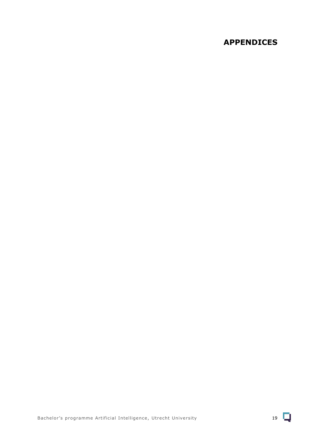# <span id="page-18-0"></span>**APPENDICES**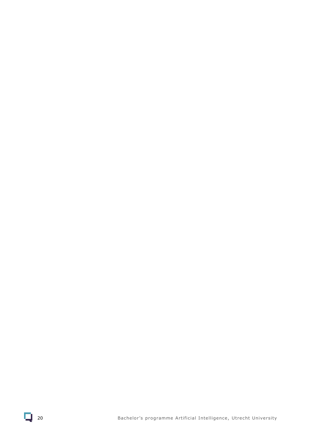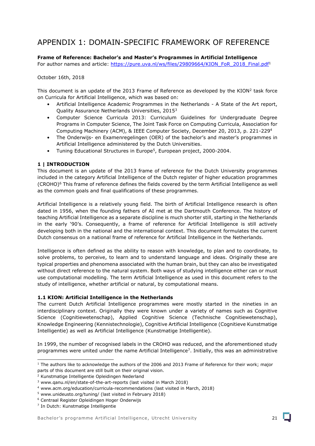# <span id="page-20-0"></span>APPENDIX 1: DOMAIN-SPECIFIC FRAMEWORK OF REFERENCE

# **Frame of Reference: Bachelor's and Master's Programmes in Artificial Intelligence**

For author names and article: [https://pure.uva.nl/ws/files/29809664/KION\\_FoR\\_2018\\_Final.pdf](https://pure.uva.nl/ws/files/29809664/KION_FoR_2018_Final.pdf)<sup>1</sup>

October 16th, 2018

This document is an update of the 2013 Frame of Reference as developed by the KION<sup>2</sup> task force on Curricula for Artificial Intelligence, which was based on:

- Artificial Intelligence Academic Programmes in the Netherlands A State of the Art report, Quality Assurance Netherlands Universities, 2015<sup>3</sup>
- Computer Science Curricula 2013: Curriculum Guidelines for Undergraduate Degree Programs in Computer Science, The Joint Task Force on Computing Curricula, Association for Computing Machinery (ACM), & IEEE Computer Society, December 20, 2013, p. 221-229<sup>4</sup>
- The Onderwijs- en Examenregelingen (OER) of the bachelor's and master's programmes in Artificial Intelligence administered by the Dutch Universities.
- Tuning Educational Structures in Europe<sup>5</sup>, European project, 2000-2004.

# **1 | INTRODUCTION**

This document is an update of the 2013 frame of reference for the Dutch University programmes included in the category Artificial Intelligence of the Dutch register of higher education programmes  $(CROHO)^6$  This frame of reference defines the fields covered by the term Artificial Intelligence as well as the common goals and final qualifications of these programmes.

Artificial Intelligence is a relatively young field. The birth of Artificial Intelligence research is often dated in 1956, when the founding fathers of AI met at the Dartmouth Conference. The history of teaching Artificial Intelligence as a separate discipline is much shorter still, starting in the Netherlands in the early '90's. Consequently, a frame of reference for Artificial Intelligence is still actively developing both in the national and the international context. This document formulates the current Dutch consensus on a national frame of reference for Artificial Intelligence in the Netherlands.

Intelligence is often defined as the ability to reason with knowledge, to plan and to coordinate, to solve problems, to perceive, to learn and to understand language and ideas. Originally these are typical properties and phenomena associated with the human brain, but they can also be investigated without direct reference to the natural system. Both ways of studying intelligence either can or must use computational modelling. The term Artificial Intelligence as used in this document refers to the study of intelligence, whether artificial or natural, by computational means.

#### **1.1 KION: Artificial Intelligence in the Netherlands**

The current Dutch Artificial Intelligence programmes were mostly started in the nineties in an interdisciplinary context. Originally they were known under a variety of names such as Cognitive Science (Cognitiewetenschap), Applied Cognitive Science (Technische Cognitiewetenschap), Knowledge Engineering (Kennistechnologie), Cognitive Artificial Intelligence (Cognitieve Kunstmatige Intelligentie) as well as Artificial Intelligence (Kunstmatige Intelligentie).

In 1999, the number of recognised labels in the CROHO was reduced, and the aforementioned study programmes were united under the name Artificial Intelligence<sup>7</sup> . Initially, this was an administrative

<sup>-</sup> $1$  The authors like to acknowledge the authors of the 2006 and 2013 Frame of Reference for their work; major parts of this document are still built on their original vision.

<sup>2</sup> Kunstmatige Intelligentie Opleidingen Nederland

<sup>3</sup> www.qanu.nl/en/state-of-the-art-reports (last visited in March 2018)

<sup>4</sup> www.acm.org/education/curricula-recommendations (last visited in March, 2018)

<sup>5</sup> www.unideusto.org/tuning/ (last visited in February 2018)

<sup>6</sup> Centraal Register Opleidingen Hoger Onderwijs

<sup>&</sup>lt;sup>7</sup> In Dutch: Kunstmatige Intelligentie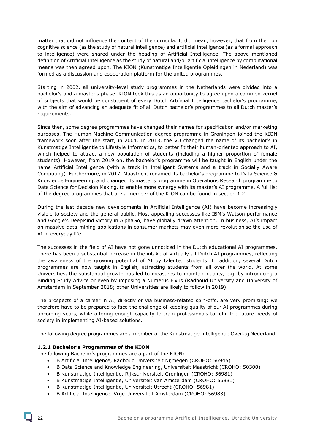matter that did not influence the content of the curricula. It did mean, however, that from then on cognitive science (as the study of natural intelligence) and artificial intelligence (as a formal approach to intelligence) were shared under the heading of Artificial Intelligence. The above mentioned definition of Artificial Intelligence as the study of natural and/or artificial intelligence by computational means was then agreed upon. The KION (Kunstmatige Intelligentie Opleidingen in Nederland) was formed as a discussion and cooperation platform for the united programmes.

Starting in 2002, all university-level study programmes in the Netherlands were divided into a bachelor's and a master's phase. KION took this as an opportunity to agree upon a common kernel of subjects that would be constituent of every Dutch Artificial Intelligence bachelor's programme, with the aim of advancing an adequate fit of all Dutch bachelor's programmes to all Dutch master's requirements.

Since then, some degree programmes have changed their names for specification and/or marketing purposes. The Human-Machine Communication degree programme in Groningen joined the KION framework soon after the start, in 2004. In 2013, the VU changed the name of its bachelor's in Kunstmatige Intelligentie to Lifestyle Informatics, to better fit their human-oriented approach to AI, which helped to attract a new population of students (including a higher proportion of female students). However, from 2019 on, the bachelor's programme will be taught in English under the name Artificial Intelligence (with a track in Intelligent Systems and a track in Socially Aware Computing). Furthermore, in 2017, Maastricht renamed its bachelor's programme to Data Science & Knowledge Engineering, and changed its master's programme in Operations Research programme to Data Science for Decision Making, to enable more synergy with its master's AI programme. A full list of the degree programmes that are a member of the KION can be found in section 1.2.

During the last decade new developments in Artificial Intelligence (AI) have become increasingly visible to society and the general public. Most appealing successes like IBM's Watson performance and Google's DeepMind victory in AlphaGo, have globally drawn attention. In business, AI's impact on massive data-mining applications in consumer markets may even more revolutionise the use of AI in everyday life.

The successes in the field of AI have not gone unnoticed in the Dutch educational AI programmes. There has been a substantial increase in the intake of virtually all Dutch AI programmes, reflecting the awareness of the growing potential of AI by talented students. In addition, several Dutch programmes are now taught in English, attracting students from all over the world. At some Universities, the substantial growth has led to measures to maintain quality, e.g. by introducing a Binding Study Advice or even by imposing a Numerus Fixus (Radboud University and University of Amsterdam in September 2018; other Universities are likely to follow in 2019).

The prospects of a career in AI, directly or via business-related spin-offs, are very promising; we therefore have to be prepared to face the challenge of keeping quality of our AI programmes during upcoming years, while offering enough capacity to train professionals to fulfil the future needs of society in implementing AI-based solutions.

The following degree programmes are a member of the Kunstmatige Intelligentie Overleg Nederland:

# **1.2.1 Bachelor's Programmes of the KION**

The following Bachelor's programmes are a part of the KION:

- B Artificial Intelligence, Radboud Universiteit Nijmegen (CROHO: 56945)
- B Data Science and Knowledge Engineering, Universiteit Maastricht (CROHO: 50300)
- B Kunstmatige Intelligentie, Rijksuniversiteit Groningen (CROHO: 56981)
- B Kunstmatige Intelligentie, Universiteit van Amsterdam (CROHO: 56981)
- B Kunstmatige Intelligentie, Universiteit Utrecht (CROHO: 56981)
- B Artificial Intelligence, Vrije Universiteit Amsterdam (CROHO: 56983)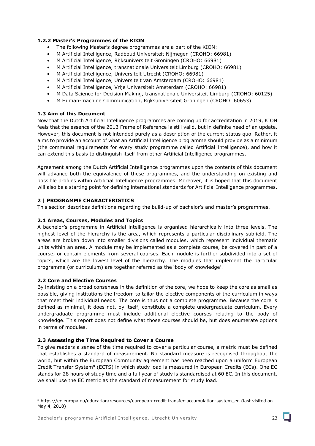# **1.2.2 Master's Programmes of the KION**

- The following Master's degree programmes are a part of the KION:
- M Artificial Intelligence, Radboud Universiteit Nijmegen (CROHO: 66981)
- M Artificial Intelligence, Rijksuniversiteit Groningen (CROHO: 66981)
- M Artificial Intelligence, transnationale Universiteit Limburg (CROHO: 66981)
- M Artificial Intelligence, Universiteit Utrecht (CROHO: 66981)
- M Artificial Intelligence, Universiteit van Amsterdam (CROHO: 66981)
- M Artificial Intelligence, Vrije Universiteit Amsterdam (CROHO: 66981)
- M Data Science for Decision Making, transnationale Universiteit Limburg (CROHO: 60125)
- M Human-machine Communication, Rijksuniversiteit Groningen (CROHO: 60653)

# **1.3 Aim of this Document**

Now that the Dutch Artificial Intelligence programmes are coming up for accreditation in 2019, KION feels that the essence of the 2013 Frame of Reference is still valid, but in definite need of an update. However, this document is not intended purely as a description of the current status quo. Rather, it aims to provide an account of what an Artificial Intelligence programme should provide as a minimum (the communal requirements for every study programme called Artificial Intelligence), and how it can extend this basis to distinguish itself from other Artificial Intelligence programmes.

Agreement among the Dutch Artificial Intelligence programmes upon the contents of this document will advance both the equivalence of these programmes, and the understanding on existing and possible profiles within Artificial Intelligence programmes. Moreover, it is hoped that this document will also be a starting point for defining international standards for Artificial Intelligence programmes.

# **2 | PROGRAMME CHARACTERISTICS**

This section describes definitions regarding the build-up of bachelor's and master's programmes.

#### **2.1 Areas, Courses, Modules and Topics**

A bachelor's programme in Artificial intelligence is organised hierarchically into three levels. The highest level of the hierarchy is the area, which represents a particular disciplinary subfield. The areas are broken down into smaller divisions called modules, which represent individual thematic units within an area. A module may be implemented as a complete course, be covered in part of a course, or contain elements from several courses. Each module is further subdivided into a set of topics, which are the lowest level of the hierarchy. The modules that implement the particular programme (or curriculum) are together referred as the 'body of knowledge'.

#### **2.2 Core and Elective Courses**

-

By insisting on a broad consensus in the definition of the core, we hope to keep the core as small as possible, giving institutions the freedom to tailor the elective components of the curriculum in ways that meet their individual needs. The core is thus not a complete programme. Because the core is defined as minimal, it does not, by itself, constitute a complete undergraduate curriculum. Every undergraduate programme must include additional elective courses relating to the body of knowledge. This report does not define what those courses should be, but does enumerate options in terms of modules.

#### **2.3 Assessing the Time Required to Cover a Course**

To give readers a sense of the time required to cover a particular course, a metric must be defined that establishes a standard of measurement. No standard measure is recognised throughout the world, but within the European Community agreement has been reached upon a uniform European Credit Transfer System<sup>8</sup> (ECTS) in which study load is measured in European Credits (ECs). One EC stands for 28 hours of study time and a full year of study is standardised at 60 EC. In this document, we shall use the EC metric as the standard of measurement for study load.

<sup>8</sup> https://ec.europa.eu/education/resources/european-credit-transfer-accumulation-system\_en (last visited on May 4, 2018)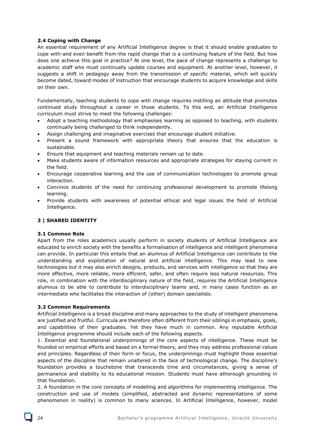# **2.4 Coping with Change**

An essential requirement of any Artificial Intelligence degree is that it should enable graduates to cope with-and even benefit from-the rapid change that is a continuing feature of the field. But how does one achieve this goal in practice? At one level, the pace of change represents a challenge to academic staff who must continually update courses and equipment. At another level, however, it suggests a shift in pedagogy away from the transmission of specific material, which will quickly become dated, toward modes of instruction that encourage students to acquire knowledge and skills on their own.

Fundamentally, teaching students to cope with change requires instilling an attitude that promotes continued study throughout a career in those students. To this end, an Artificial Intelligence curriculum must strive to meet the following challenges:

- Adopt a teaching methodology that emphasises learning as opposed to teaching, with students continually being challenged to think independently.
- Assign challenging and imaginative exercises that encourage student initiative.
- Present a sound framework with appropriate theory that ensures that the education is sustainable.
- Ensure that equipment and teaching materials remain up to date.
- Make students aware of information resources and appropriate strategies for staying current in the field.
- Encourage cooperative learning and the use of communication technologies to promote group interaction.
- Convince students of the need for continuing professional development to promote lifelong learning.
- Provide students with awareness of potential ethical and legal issues the field of Artificial Intelligence.

# **3 | SHARED IDENTITY**

# **3.1 Common Role**

Apart from the roles academics usually perform in society students of Artificial Intelligence are educated to enrich society with the benefits a formalisation of intelligence and intelligent phenomena can provide. In particular this entails that an alumnus of Artificial Intelligence can contribute to the understanding and exploitation of natural and artificial intelligence. This may lead to new technologies but it may also enrich designs, products, and services with intelligence so that they are more effective, more reliable, more efficient, safer, and often require less natural resources. This role, in combination with the interdisciplinary nature of the field, requires the Artificial Intelligence alumnus to be able to contribute to interdisciplinary teams and, in many cases function as an intermediate who facilitates the interaction of (other) domain specialists.

# **3.2 Common Requirements**

Artificial Intelligence is a broad discipline and many approaches to the study of intelligent phenomena are justified and fruitful. Curricula are therefore often different from their siblings in emphasis, goals, and capabilities of their graduates. Yet they have much in common. Any reputable Artificial Intelligence programme should include each of the following aspects.

1. Essential and foundational underpinnings of the core aspects of intelligence. These must be founded on empirical efforts and based on a formal theory, and they may address professional values and principles. Regardless of their form or focus, the underpinnings must highlight those essential aspects of the discipline that remain unaltered in the face of technological change. The discipline's foundation provides a touchstone that transcends time and circumstances, giving a sense of permanence and stability to its educational mission. Students must have athorough grounding in that foundation.

2. A foundation in the core concepts of modelling and algorithms for implementing intelligence. The construction and use of models (simplified, abstracted and dynamic representations of some phenomenon in reality) is common to many sciences. In Artificial Intelligence, however, model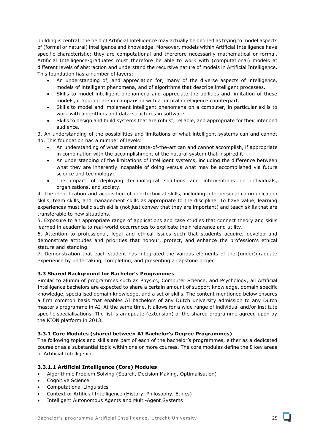building is central: the field of Artificial Intelligence may actually be defined as trying to model aspects of (formal or natural) intelligence and knowledge. Moreover, models within Artificial Intelligence have specific characteristic: they are computational and therefore necessarily mathematical or formal. Artificial Intelligence-graduates must therefore be able to work with (computational) models at different levels of abstraction and understand the recursive nature of models in Artificial Intelligence. This foundation has a number of layers:

- An understanding of, and appreciation for, many of the diverse aspects of intelligence, models of intelligent phenomena, and of algorithms that describe intelligent processes.
- Skills to model intelligent phenomena and appreciate the abilities and limitation of these models, if appropriate in comparison with a natural intelligence counterpart.
- Skills to model and implement intelligent phenomena on a computer, in particular skills to work with algorithms and data-structures in software.
- Skills to design and build systems that are robust, reliable, and appropriate for their intended audience.

3. An understanding of the possibilities and limitations of what intelligent systems can and cannot do. This foundation has a number of levels:

- An understanding of what current state-of-the-art can and cannot accomplish, if appropriate in combination with the accomplishment of the natural system that inspired it;
- An understanding of the limitations of intelligent systems, including the difference between what they are inherently incapable of doing versus what may be accomplished via future science and technology;
- The impact of deploying technological solutions and interventions on individuals, organizations, and society.

4. The identification and acquisition of non-technical skills, including interpersonal communication skills, team skills, and management skills as appropriate to the discipline. To have value, learning experiences must build such skills (not just convey that they are important) and teach skills that are transferable to new situations.

5. Exposure to an appropriate range of applications and case studies that connect theory and skills learned in academia to real-world occurrences to explicate their relevance and utility.

6. Attention to professional, legal and ethical issues such that students acquire, develop and demonstrate attitudes and priorities that honour, protect, and enhance the profession's ethical stature and standing.

7. Demonstration that each student has integrated the various elements of the (under)graduate experience by undertaking, completing, and presenting a capstone project.

# **3.3 Shared Background for Bachelor's Programmes**

Similar to alumni of programmes such as Physics, Computer Science, and Psychology, all Artificial Intelligence bachelors are expected to share a certain amount of support knowledge, domain specific knowledge, specialised domain knowledge, and a set of skills. The content mentioned below ensures a firm common basis that enables AI bachelors of any Dutch university admission to any Dutch master's programme in AI. At the same time, it allows for a wide range of individual and/or institute specific specialisations. The list is an update (extension) of the shared programme agreed upon by the KION platform in 2013.

# **3.3.1 Core Modules (shared between AI Bachelor's Degree Programmes)**

The following topics and skills are part of each of the bachelor's programmes, either as a dedicated course or as a substantial topic within one or more courses. The core modules define the 8 key areas of Artificial Intelligence.

# **3.3.1.1 Artificial Intelligence (Core) Modules**

- Algorithmic Problem Solving (Search, Decision Making, Optimalisation)
- Cognitive Science
- Computational Linguistics
- Context of Artificial Intelligence (History, Philosophy, Ethics)
- Intelligent Autonomous Agents and Multi-Agent Systems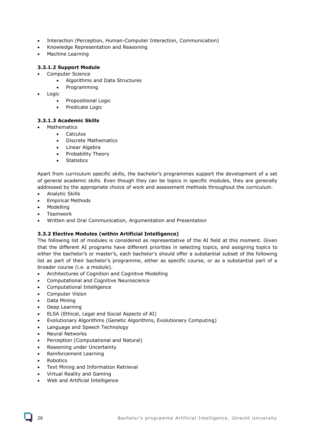- Interaction (Perception, Human-Computer Interaction, Communication)
- Knowledge Representation and Reasoning
- Machine Learning

# **3.3.1.2 Support Module**

- Computer Science
	- Algorithms and Data Structures
	- Programming
- Logic
	- Propositional Logic
	- Predicate Logic

# **3.3.1.3 Academic Skills**

- Mathematics
	- Calculus
	- Discrete Mathematics
	- Linear Algebra
	- Probability Theory
	- Statistics

Apart from curriculum specific skills, the bachelor's programmes support the development of a set of general academic skills. Even though they can be topics in specific modules, they are generally addressed by the appropriate choice of work and assessment methods throughout the curriculum.

- Analytic Skills
- Empirical Methods
- Modelling
- Teamwork
- Written and Oral Communication, Argumentation and Presentation

# **3.3.2 Elective Modules (within Artificial Intelligence)**

The following list of modules is considered as representative of the AI field at this moment. Given that the different AI programs have different priorities in selecting topics, and assigning topics to either the bachelor's or master's, each bachelor's should offer a substantial subset of the following list as part of their bachelor's programme, either as specific course, or as a substantial part of a broader course (i.e. a module).

- Architectures of Cognition and Cognitive Modelling
- Computational and Cognitive Neuroscience
- Computational Intelligence
- Computer Vision
- Data Mining
- Deep Learning
- ELSA (Ethical, Legal and Social Aspects of AI)
- Evolutionary Algorithms (Genetic Algorithms, Evolutionary Computing)
- Language and Speech Technology
- Neural Networks
- Perception (Computational and Natural)
- Reasoning under Uncertainty
- Reinforcement Learning
- Robotics
- Text Mining and Information Retrieval
- Virtual Reality and Gaming
- Web and Artificial Intelligence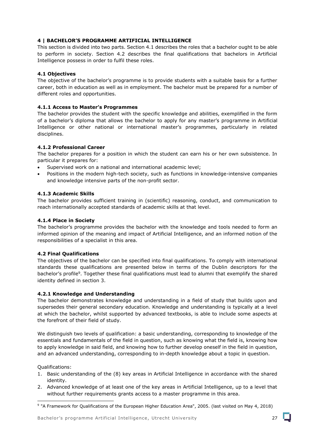# **4 | BACHELOR'S PROGRAMME ARTIFICIAL INTELLIGENCE**

This section is divided into two parts. Section 4.1 describes the roles that a bachelor ought to be able to perform in society. Section 4.2 describes the final qualifications that bachelors in Artificial Intelligence possess in order to fulfil these roles.

### **4.1 Objectives**

The objective of the bachelor's programme is to provide students with a suitable basis for a further career, both in education as well as in employment. The bachelor must be prepared for a number of different roles and opportunities.

#### **4.1.1 Access to Master's Programmes**

The bachelor provides the student with the specific knowledge and abilities, exemplified in the form of a bachelor's diploma that allows the bachelor to apply for any master's programme in Artificial Intelligence or other national or international master's programmes, particularly in related disciplines.

### **4.1.2 Professional Career**

The bachelor prepares for a position in which the student can earn his or her own subsistence. In particular it prepares for:

- Supervised work on a national and international academic level;
- Positions in the modern high-tech society, such as functions in knowledge-intensive companies and knowledge intensive parts of the non-profit sector.

### **4.1.3 Academic Skills**

The bachelor provides sufficient training in (scientific) reasoning, conduct, and communication to reach internationally accepted standards of academic skills at that level.

### **4.1.4 Place in Society**

The bachelor's programme provides the bachelor with the knowledge and tools needed to form an informed opinion of the meaning and impact of Artificial Intelligence, and an informed notion of the responsibilities of a specialist in this area.

#### **4.2 Final Qualifications**

The objectives of the bachelor can be specified into final qualifications. To comply with international standards these qualifications are presented below in terms of the Dublin descriptors for the bachelor's profile<sup>9</sup>. Together these final qualifications must lead to alumni that exemplify the shared identity defined in section 3.

#### **4.2.1 Knowledge and Understanding**

The bachelor demonstrates knowledge and understanding in a field of study that builds upon and supersedes their general secondary education. Knowledge and understanding is typically at a level at which the bachelor, whilst supported by advanced textbooks, is able to include some aspects at the forefront of their field of study.

We distinguish two levels of qualification: a basic understanding, corresponding to knowledge of the essentials and fundamentals of the field in question, such as knowing what the field is, knowing how to apply knowledge in said field, and knowing how to further develop oneself in the field in question, and an advanced understanding, corresponding to in-depth knowledge about a topic in question.

Qualifications:

- 1. Basic understanding of the (8) key areas in Artificial Intelligence in accordance with the shared identity.
- 2. Advanced knowledge of at least one of the key areas in Artificial Intelligence, up to a level that without further requirements grants access to a master programme in this area.

<sup>-</sup><sup>9</sup> "A Framework for Qualifications of the European Higher Education Area", 2005. (last visited on May 4, 2018)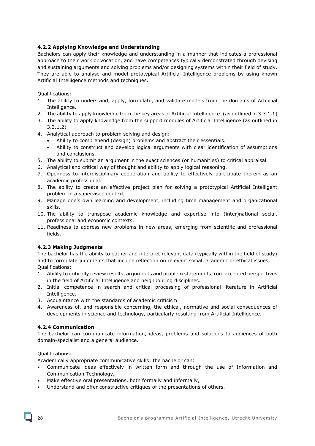# **4.2.2 Applying Knowledge and Understanding**

Bachelors can apply their knowledge and understanding in a manner that indicates a professional approach to their work or vocation, and have competences typically demonstrated through devising and sustaining arguments and solving problems and/or designing systems within their field of study. They are able to analyse and model prototypical Artificial Intelligence problems by using known Artificial Intelligence methods and techniques.

Qualifications:

- 1. The ability to understand, apply, formulate, and validate models from the domains of Artificial Intelligence.
- 2. The ability to apply knowledge from the key areas of Artificial Intelligence. (as outlined in 3.3.1.1)
- 3. The ability to apply knowledge from the support modules of Artificial Intelligence (as outlined in 3.3.1.2)
- 4. Analytical approach to problem solving and design:
	- Ability to comprehend (design) problems and abstract their essentials.
		- Ability to construct and develop logical arguments with clear identification of assumptions and conclusions.
- 5. The ability to submit an argument in the exact sciences (or humanities) to critical appraisal.
- 6. Analytical and critical way of thought and ability to apply logical reasoning.
- 7. Openness to interdisciplinary cooperation and ability to effectively participate therein as an academic professional.
- 8. The ability to create an effective project plan for solving a prototypical Artificial Intelligent problem in a supervised context.
- 9. Manage one's own learning and development, including time management and organizational skills.
- 10. The ability to transpose academic knowledge and expertise into (inter)national social, professional and economic contexts.
- 11. Readiness to address new problems in new areas, emerging from scientific and professional fields.

# **4.2.3 Making Judgments**

The bachelor has the ability to gather and interpret relevant data (typically within the field of study) and to formulate judgments that include reflection on relevant social, academic or ethical issues. Qualifications:

- 1. Ability to critically review results, arguments and problem statements from accepted perspectives in the field of Artificial Intelligence and neighbouring disciplines.
- 2. Initial competence in search and critical processing of professional literature in Artificial Intelligence.
- 3. Acquaintance with the standards of academic criticism.
- 4. Awareness of, and responsible concerning, the ethical, normative and social consequences of developments in science and technology, particularly resulting from Artificial Intelligence.

# **4.2.4 Communication**

The bachelor can communicate information, ideas, problems and solutions to audiences of both domain-specialist and a general audience.

# Qualifications:

Academically appropriate communicative skills; the bachelor can:

- Communicate ideas effectively in written form and through the use of Information and Communication Technology,
- Make effective oral presentations, both formally and informally,
- Understand and offer constructive critiques of the presentations of others.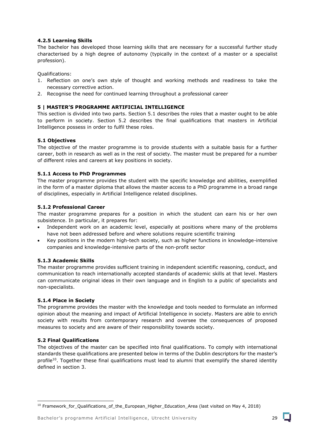# **4.2.5 Learning Skills**

The bachelor has developed those learning skills that are necessary for a successful further study characterised by a high degree of autonomy (typically in the context of a master or a specialist profession).

Qualifications:

- 1. Reflection on one's own style of thought and working methods and readiness to take the necessary corrective action.
- 2. Recognise the need for continued learning throughout a professional career

# **5 | MASTER'S PROGRAMME ARTIFICIAL INTELLIGENCE**

This section is divided into two parts. Section 5.1 describes the roles that a master ought to be able to perform in society. Section 5.2 describes the final qualifications that masters in Artificial Intelligence possess in order to fulfil these roles.

# **5.1 Objectives**

The objective of the master programme is to provide students with a suitable basis for a further career, both in research as well as in the rest of society. The master must be prepared for a number of different roles and careers at key positions in society.

# **5.1.1 Access to PhD Programmes**

The master programme provides the student with the specific knowledge and abilities, exemplified in the form of a master diploma that allows the master access to a PhD programme in a broad range of disciplines, especially in Artificial Intelligence related disciplines.

# **5.1.2 Professional Career**

The master programme prepares for a position in which the student can earn his or her own subsistence. In particular, it prepares for:

- Independent work on an academic level, especially at positions where many of the problems have not been addressed before and where solutions require scientific training
- Key positions in the modern high-tech society, such as higher functions in knowledge-intensive companies and knowledge-intensive parts of the non-profit sector

# **5.1.3 Academic Skills**

The master programme provides sufficient training in independent scientific reasoning, conduct, and communication to reach internationally accepted standards of academic skills at that level. Masters can communicate original ideas in their own language and in English to a public of specialists and non-specialists.

# **5.1.4 Place in Society**

The programme provides the master with the knowledge and tools needed to formulate an informed opinion about the meaning and impact of Artificial Intelligence in society. Masters are able to enrich society with results from contemporary research and oversee the consequences of proposed measures to society and are aware of their responsibility towards society.

# **5.2 Final Qualifications**

The objectives of the master can be specified into final qualifications. To comply with international standards these qualifications are presented below in terms of the Dublin descriptors for the master's profile<sup>10</sup>. Together these final qualifications must lead to alumni that exemplify the shared identity defined in section 3.

<sup>-</sup><sup>10</sup> Framework for Qualifications of the European Higher Education Area (last visited on May 4, 2018)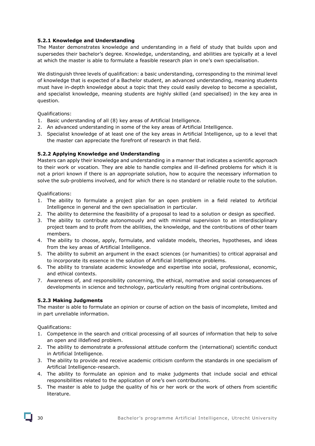# **5.2.1 Knowledge and Understanding**

The Master demonstrates knowledge and understanding in a field of study that builds upon and supersedes their bachelor's degree. Knowledge, understanding, and abilities are typically at a level at which the master is able to formulate a feasible research plan in one's own specialisation.

We distinguish three levels of qualification: a basic understanding, corresponding to the minimal level of knowledge that is expected of a Bachelor student, an advanced understanding, meaning students must have in-depth knowledge about a topic that they could easily develop to become a specialist, and specialist knowledge, meaning students are highly skilled (and specialised) in the key area in question.

Qualifications:

- 1. Basic understanding of all (8) key areas of Artificial Intelligence.
- 2. An advanced understanding in some of the key areas of Artificial Intelligence.
- 3. Specialist knowledge of at least one of the key areas in Artificial Intelligence, up to a level that the master can appreciate the forefront of research in that field.

# **5.2.2 Applying Knowledge and Understanding**

Masters can apply their knowledge and understanding in a manner that indicates a scientific approach to their work or vocation. They are able to handle complex and ill-defined problems for which it is not a priori known if there is an appropriate solution, how to acquire the necessary information to solve the sub-problems involved, and for which there is no standard or reliable route to the solution.

Qualifications:

- 1. The ability to formulate a project plan for an open problem in a field related to Artificial Intelligence in general and the own specialisation in particular.
- 2. The ability to determine the feasibility of a proposal to lead to a solution or design as specified.
- 3. The ability to contribute autonomously and with minimal supervision to an interdisciplinary project team and to profit from the abilities, the knowledge, and the contributions of other team members.
- 4. The ability to choose, apply, formulate, and validate models, theories, hypotheses, and ideas from the key areas of Artificial Intelligence.
- 5. The ability to submit an argument in the exact sciences (or humanities) to critical appraisal and to incorporate its essence in the solution of Artificial Intelligence problems.
- 6. The ability to translate academic knowledge and expertise into social, professional, economic, and ethical contexts.
- 7. Awareness of, and responsibility concerning, the ethical, normative and social consequences of developments in science and technology, particularly resulting from original contributions.

# **5.2.3 Making Judgments**

The master is able to formulate an opinion or course of action on the basis of incomplete, limited and in part unreliable information.

Qualifications:

- 1. Competence in the search and critical processing of all sources of information that help to solve an open and illdefined problem.
- 2. The ability to demonstrate a professional attitude conform the (international) scientific conduct in Artificial Intelligence.
- 3. The ability to provide and receive academic criticism conform the standards in one specialism of Artificial Intelligence-research.
- 4. The ability to formulate an opinion and to make judgments that include social and ethical responsibilities related to the application of one's own contributions.
- 5. The master is able to judge the quality of his or her work or the work of others from scientific literature.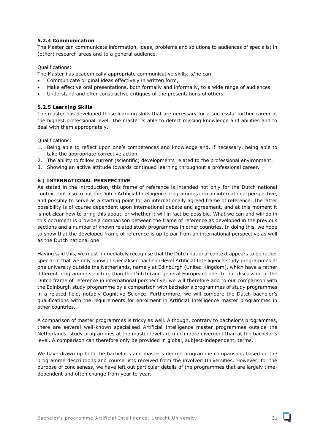# **5.2.4 Communication**

The Master can communicate information, ideas, problems and solutions to audiences of specialist in (other) research areas and to a general audience.

### Qualifications:

The Master has academically appropriate communicative skills; s/he can:

- Communicate original ideas effectively in written form,
- Make effective oral presentations, both formally and informally, to a wide range of audiences
- Understand and offer constructive critiques of the presentations of others.

### **5.2.5 Learning Skills**

The master has developed those learning skills that are necessary for a successful further career at the highest professional level. The master is able to detect missing knowledge and abilities and to deal with them appropriately.

Qualifications:

- 1. Being able to reflect upon one's competences and knowledge and, if necessary, being able to take the appropriate corrective action.
- 2. The ability to follow current (scientific) developments related to the professional environment.
- 3. Showing an active attitude towards continued learning throughout a professional career.

# **6 | INTERNATIONAL PERSPECTIVE**

As stated in the introduction, this frame of reference is intended not only for the Dutch national context, but also to put the Dutch Artificial Intelligence programmes into an international perspective, and possibly to serve as a starting point for an internationally agreed frame of reference. The latter possibility is of course dependent upon international debate and agreement, and at this moment it is not clear how to bring this about, or whether it will in fact be possible. What we can and will do in this document is provide a comparison between the frame of reference as developed in the previous sections and a number of known related study programmes in other countries. In doing this, we hope to show that the developed frame of reference is up to par from an international perspective as well as the Dutch national one.

Having said this, we must immediately recognise that the Dutch national context appears to be rather special in that we only know of specialised bachelor-level Artificial Intelligence study programmes at one university outside the Netherlands, namely at Edinburgh (United Kingdom), which have a rather different programme structure than the Dutch (and general European) one. In our discussion of the Dutch frame of reference in international perspective, we will therefore add to our comparison with the Edinburgh study programme by a comparison with bachelor's programmes of study programmes in a related field, notably Cognitive Science. Furthermore, we will compare the Dutch bachelor's qualifications with the requirements for enrolment in Artificial Intelligence master programmes in other countries.

A comparison of master programmes is tricky as well. Although, contrary to bachelor's programmes, there are several well-known specialised Artificial Intelligence master programmes outside the Netherlands, study programmes at the master level are much more divergent than at the bachelor's level. A comparison can therefore only be provided in global, subject-independent, terms.

We have drawn up both the bachelor's and master's degree programme comparisons based on the programme descriptions and course lists received from the involved Universities. However, for the purpose of conciseness, we have left out particular details of the programmes that are largely timedependent and often change from year to year.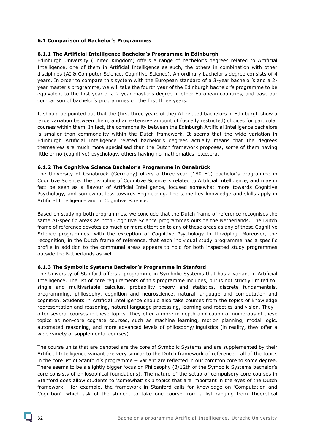### **6.1 Comparison of Bachelor's Programmes**

### **6.1.1 The Artificial Intelligence Bachelor's Programme in Edinburgh**

Edinburgh University (United Kingdom) offers a range of bachelor's degrees related to Artificial Intelligence, one of them in Artificial Intelligence as such, the others in combination with other disciplines (AI & Computer Science, Cognitive Science). An ordinary bachelor's degree consists of 4 years. In order to compare this system with the European standard of a 3-year bachelor's and a 2 year master's programme, we will take the fourth year of the Edinburgh bachelor's programme to be equivalent to the first year of a 2-year master's degree in other European countries, and base our comparison of bachelor's programmes on the first three years.

It should be pointed out that the (first three years of the) AI-related bachelors in Edinburgh show a large variation between them, and an extensive amount of (usually restricted) choices for particular courses within them. In fact, the commonality between the Edinburgh Artificial Intelligence bachelors is smaller than commonality within the Dutch framework. It seems that the wide variation in Edinburgh Artificial Intelligence related bachelor's degrees actually means that the degrees themselves are much more specialised than the Dutch framework proposes, some of them having little or no (cognitive) psychology, others having no mathematics, etcetera.

#### **6.1.2 The Cognitive Science Bachelor's Programme in Osnabrück**

The University of Osnabrück (Germany) offers a three-year (180 EC) bachelor's programme in Cognitive Science. The discipline of Cognitive Science is related to Artificial Intelligence, and may in fact be seen as a flavour of Artificial Intelligence, focused somewhat more towards Cognitive Psychology, and somewhat less towards Engineering. The same key knowledge and skills apply in Artificial Intelligence and in Cognitive Science.

Based on studying both programmes, we conclude that the Dutch frame of reference recognises the same AI-specific areas as both Cognitive Science programmes outside the Netherlands. The Dutch frame of reference devotes as much or more attention to any of these areas as any of those Cognitive Science programmes, with the exception of Cognitive Psychology in Linköping. Moreover, the recognition, in the Dutch frame of reference, that each individual study programme has a specific profile in addition to the communal areas appears to hold for both inspected study programmes outside the Netherlands as well.

#### **6.1.3 The Symbolic Systems Bachelor's Programme in Stanford**

The University of Stanford offers a programme in Symbolic Systems that has a variant in Artificial Intelligence. The list of core requirements of this programme includes, but is not strictly limited to: single and multivariable calculus, probability theory and statistics, discrete fundamentals, programming, philosophy, cognition and neuroscience, natural language and computation and cognition. Students in Artificial Intelligence should also take courses from the topics of knowledge representation and reasoning, natural language processing, learning and robotics and vision. They offer several courses in these topics. They offer a more in-depth application of numerous of these topics as non-core cognate courses, such as machine learning, motion planning, modal logic, automated reasoning, and more advanced levels of philosophy/linguistics (in reality, they offer a wide variety of supplemental courses).

The course units that are denoted are the core of Symbolic Systems and are supplemented by their Artificial Intelligence variant are very similar to the Dutch framework of reference - all of the topics in the core list of Stanford's programme + variant are reflected in our common core to some degree. There seems to be a slightly bigger focus on Philosophy (3/12th of the Symbolic Systems bachelor's core consists of philosophical foundations). The nature of the setup of compulsory core courses in Stanford does allow students to 'somewhat' skip topics that are important in the eyes of the Dutch framework - for example, the framework in Stanford calls for knowledge on 'Computation and Cognition', which ask of the student to take one course from a list ranging from Theoretical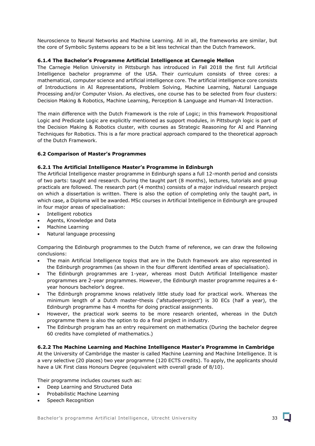Neuroscience to Neural Networks and Machine Learning. All in all, the frameworks are similar, but the core of Symbolic Systems appears to be a bit less technical than the Dutch framework.

### **6.1.4 The Bachelor's Programme Artificial Intelligence at Carnegie Mellon**

The Carnegie Mellon University in Pittsburgh has introduced in Fall 2018 the first full Artificial Intelligence bachelor programme of the USA. Their curriculum consists of three cores: a mathematical, computer science and artificial intelligence core. The artificial intelligence core consists of Introductions in AI Representations, Problem Solving, Machine Learning, Natural Language Processing and/or Computer Vision. As electives, one course has to be selected from four clusters: Decision Making & Robotics, Machine Learning, Perception & Language and Human-AI Interaction.

The main difference with the Dutch Framework is the role of Logic; in this framework Propositional Logic and Predicate Logic are explicitly mentioned as support modules, in Pittsburgh logic is part of the Decision Making & Robotics cluster, with courses as Strategic Reasoning for AI and Planning Techniques for Robotics. This is a far more practical approach compared to the theoretical approach of the Dutch Framework.

### **6.2 Comparison of Master's Programmes**

### **6.2.1 The Artificial Intelligence Master's Programme in Edinburgh**

The Artificial Intelligence master programme in Edinburgh spans a full 12-month period and consists of two parts: taught and research. During the taught part (8 months), lectures, tutorials and group practicals are followed. The research part (4 months) consists of a major individual research project on which a dissertation is written. There is also the option of completing only the taught part, in which case, a Diploma will be awarded. MSc courses in Artificial Intelligence in Edinburgh are grouped in four major areas of specialisation:

- Intelligent robotics
- Agents, Knowledge and Data
- Machine Learning
- Natural language processing

Comparing the Edinburgh programmes to the Dutch frame of reference, we can draw the following conclusions:

- The main Artificial Intelligence topics that are in the Dutch framework are also represented in the Edinburgh programmes (as shown in the four different identified areas of specialisation).
- The Edinburgh programmes are 1-year, whereas most Dutch Artificial Intelligence master programmes are 2-year programmes. However, the Edinburgh master programme requires a 4 year honours bachelor's degree.
- The Edinburgh programme knows relatively little study load for practical work. Whereas the minimum length of a Dutch master-thesis ('afstudeerproject') is 30 ECs (half a year), the Edinburgh programme has 4 months for doing practical assignments.
- However, the practical work seems to be more research oriented, whereas in the Dutch programme there is also the option to do a final project in industry.
- The Edinburgh program has an entry requirement on mathematics (During the bachelor degree 60 credits have completed of mathematics.)

# **6.2.2 The Machine Learning and Machine Intelligence Master's Programme in Cambridge**

At the University of Cambridge the master is called Machine Learning and Machine Intelligence. It is a very selective (20 places) two year programme (120 ECTS credits). To apply, the applicants should have a UK First class Honours Degree (equivalent with overall grade of 8/10).

Their programme includes courses such as:

- Deep Learning and Structured Data
- Probabilistic Machine Learning
- Speech Recognition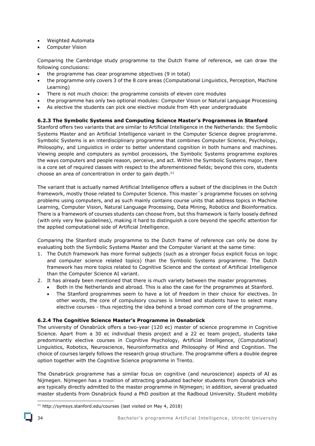- Weighted Automata
- Computer Vision

Comparing the Cambridge study programme to the Dutch frame of reference, we can draw the following conclusions:

- the programme has clear programme objectives (9 in total)
- the programme only covers 3 of the 8 core areas (Computational Linguistics, Perception, Machine Learning)
- There is not much choice: the programme consists of eleven core modules
- the programme has only two optional modules: Computer Vision or Natural Language Processing
- As elective the students can pick one elective module from 4th year undergraduate

# **6.2.3 The Symbolic Systems and Computing Science Master's Programmes in Stanford**

Stanford offers two variants that are similar to Artificial Intelligence in the Netherlands: the Symbolic Systems Master and an Artificial Intelligence variant in the Computer Science degree programme. Symbolic Systems is an interdisciplinary programme that combines Computer Science, Psychology, Philosophy, and Linguistics in order to better understand cognition in both humans and machines. Viewing people and computers as symbol processors, the Symbolic Systems programme explores the ways computers and people reason, perceive, and act. Within the Symbolic Systems major, there is a core set of required classes with respect to the aforementioned fields; beyond this core, students choose an area of concentration in order to gain depth. $11$ 

The variant that is actually named Artificial Intelligence offers a subset of the disciplines in the Dutch framework, mostly those related to Computer Science. This master´s programme focuses on solving problems using computers, and as such mainly contains course units that address topics in Machine Learning, Computer Vision, Natural Language Processing, Data Mining, Robotics and Bioinformatics. There is a framework of courses students can choose from, but this framework is fairly loosely defined (with only very few guidelines), making it hard to distinguish a core beyond the specific attention for the applied computational side of Artificial Intelligence.

Comparing the Stanford study programme to the Dutch frame of reference can only be done by evaluating both the Symbolic Systems Master and the Computer Variant at the same time:

- 1. The Dutch framework has more formal subjects (such as a stronger focus explicit focus on logic and computer science related topics) than the Symbolic Systems programme. The Dutch framework has more topics related to Cognitive Science and the context of Artificial Intelligence than the Computer Science AI variant.
- 2. It has already been mentioned that there is much variety between the master programmes
	- Both in the Netherlands and abroad. This is also the case for the programmes at Stanford.
	- The Stanford programmes seem to have a lot of freedom in their choice for electives. In other words, the core of compulsory courses is limited and students have to select many elective courses - thus rejecting the idea behind a broad common core of the programme.

# **6.2.4 The Cognitive Science Master's Programme in Osnabrück**

The university of Osnabrück offers a two-year (120 ec) master of science programme in Cognitive Science. Apart from a 30 ec individual thesis project and a 22 ec team project, students take predominantly elective courses in Cognitive Psychology, Artificial Intelligence, (Computational) Linguistics, Robotics, Neuroscience, Neuroinformatics and Philosophy of Mind and Cognition. The choice of courses largely follows the research group structure. The programme offers a double degree option together with the Cognitive Science programme in Trento.

The Osnabrück programme has a similar focus on cognitive (and neuroscience) aspects of AI as Nijmegen. Nijmegen has a tradition of attracting graduated bachelor students from Osnabrück who are typically directly admitted to the master programme in Nijmegen; in addition, several graduated master students from Osnabrück found a PhD position at the Radboud University. Student mobility



<sup>-</sup> $11$  http://symsys.stanford.edu/courses (last visited on May 4, 2018)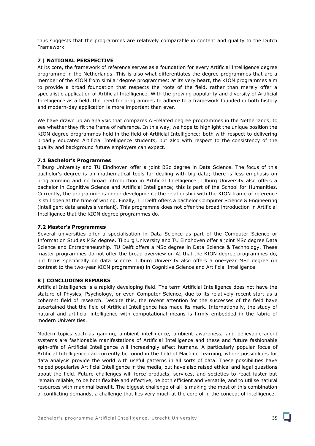thus suggests that the programmes are relatively comparable in content and quality to the Dutch Framework.

### **7 | NATIONAL PERSPECTIVE**

At its core, the framework of reference serves as a foundation for every Artificial Intelligence degree programme in the Netherlands. This is also what differentiates the degree programmes that are a member of the KION from similar degree programmes: at its very heart, the KION programmes aim to provide a broad foundation that respects the roots of the field, rather than merely offer a specialistic application of Artificial Intelligence. With the growing popularity and diversity of Artificial Intelligence as a field, the need for programmes to adhere to a framework founded in both history and modern-day application is more important than ever.

We have drawn up an analysis that compares AI-related degree programmes in the Netherlands, to see whether they fit the frame of reference. In this way, we hope to highlight the unique position the KION degree programmes hold in the field of Artificial Intelligence: both with respect to delivering broadly educated Artificial Intelligence students, but also with respect to the consistency of the quality and background future employers can expect.

#### **7.1 Bachelor's Programmes**

Tilburg University and TU Eindhoven offer a joint BSc degree in Data Science. The focus of this bachelor's degree is on mathematical tools for dealing with big data; there is less emphasis on programming and no broad introduction in Artificial Intelligence. Tilburg University also offers a bachelor in Cognitive Science and Artificial Intelligence; this is part of the School for Humanities. Currently, the programme is under development; the relationship with the KION frame of reference is still open at the time of writing. Finally, TU Delft offers a bachelor Computer Science & Engineering (intelligent data analysis variant). This programme does not offer the broad introduction in Artificial Intelligence that the KION degree programmes do.

#### **7.2 Master's Programmes**

Several universities offer a specialisation in Data Science as part of the Computer Science or Information Studies MSc degree. Tilburg University and TU Eindhoven offer a joint MSc degree Data Science and Entrepreneurship. TU Delft offers a MSc degree in Data Science & Technology. These master programmes do not offer the broad overview on AI that the KION degree programmes do, but focus specifically on data science. Tilburg University also offers a one-year MSc degree (in contrast to the two-year KION programmes) in Cognitive Science and Artificial Intelligence.

#### **8 | CONCLUDING REMARKS**

Artificial Intelligence is a rapidly developing field. The term Artificial Intelligence does not have the stature of Physics, Psychology, or even Computer Science, due to its relatively recent start as a coherent field of research. Despite this, the recent attention for the successes of the field have ascertained that the field of Artificial Intelligence has made its mark. Internationally, the study of natural and artificial intelligence with computational means is firmly embedded in the fabric of modern Universities.

Modern topics such as gaming, ambient intelligence, ambient awareness, and believable-agent systems are fashionable manifestations of Artificial Intelligence and these and future fashionable spin-offs of Artificial Intelligence will increasingly affect humans. A particularly popular focus of Artificial Intelligence can currently be found in the field of Machine Learning, where possibilities for data analysis provide the world with useful patterns in all sorts of data. These possibilities have helped popularise Artificial Intelligence in the media, but have also raised ethical and legal questions about the field. Future challenges will force products, services, and societies to react faster but remain reliable, to be both flexible and effective, be both efficient and versatile, and to utilise natural resources with maximal benefit. The biggest challenge of all is making the most of this combination of conflicting demands, a challenge that lies very much at the core of in the concept of intelligence.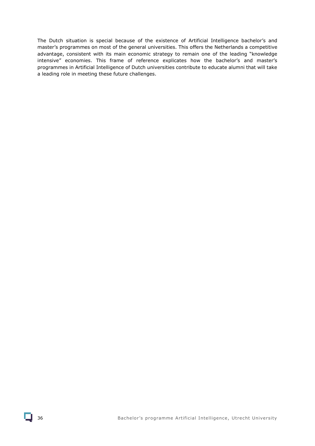The Dutch situation is special because of the existence of Artificial Intelligence bachelor's and master's programmes on most of the general universities. This offers the Netherlands a competitive advantage, consistent with its main economic strategy to remain one of the leading "knowledge intensive" economies. This frame of reference explicates how the bachelor's and master's programmes in Artificial Intelligence of Dutch universities contribute to educate alumni that will take a leading role in meeting these future challenges.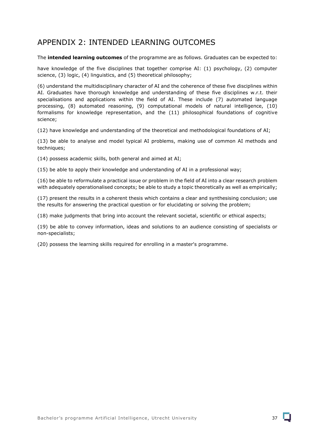# <span id="page-36-0"></span>APPENDIX 2: INTENDED LEARNING OUTCOMES

The **intended learning outcomes** of the programme are as follows. Graduates can be expected to:

have knowledge of the five disciplines that together comprise AI: (1) psychology, (2) computer science, (3) logic, (4) linguistics, and (5) theoretical philosophy;

(6) understand the multidisciplinary character of AI and the coherence of these five disciplines within AI. Graduates have thorough knowledge and understanding of these five disciplines w.r.t. their specialisations and applications within the field of AI. These include (7) automated language processing, (8) automated reasoning, (9) computational models of natural intelligence, (10) formalisms for knowledge representation, and the (11) philosophical foundations of cognitive science;

(12) have knowledge and understanding of the theoretical and methodological foundations of AI;

(13) be able to analyse and model typical AI problems, making use of common AI methods and techniques;

(14) possess academic skills, both general and aimed at AI;

(15) be able to apply their knowledge and understanding of AI in a professional way;

(16) be able to reformulate a practical issue or problem in the field of AI into a clear research problem with adequately operationalised concepts; be able to study a topic theoretically as well as empirically;

(17) present the results in a coherent thesis which contains a clear and synthesising conclusion; use the results for answering the practical question or for elucidating or solving the problem;

(18) make judgments that bring into account the relevant societal, scientific or ethical aspects;

(19) be able to convey information, ideas and solutions to an audience consisting of specialists or non-specialists;

(20) possess the learning skills required for enrolling in a master's programme.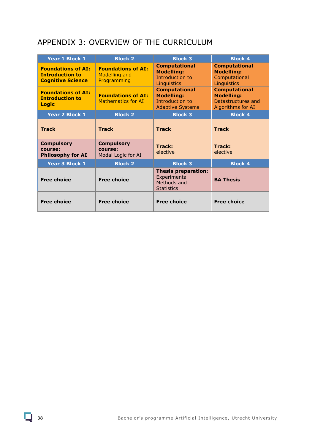# <span id="page-37-0"></span>APPENDIX 3: OVERVIEW OF THE CURRICULUM

| Year 1 Block 1                                                                  | <b>Block 2</b>                                                   | <b>Block 3</b>                                                                          | <b>Block 4</b>                                                                       |
|---------------------------------------------------------------------------------|------------------------------------------------------------------|-----------------------------------------------------------------------------------------|--------------------------------------------------------------------------------------|
| <b>Foundations of AI:</b><br><b>Introduction to</b><br><b>Cognitive Science</b> | <b>Foundations of AI:</b><br><b>Modelling and</b><br>Programming | <b>Computational</b><br><b>Modelling:</b><br>Introduction to<br>Linguistics             | <b>Computational</b><br><b>Modelling:</b><br>Computational<br>Linguistics            |
| <b>Foundations of AT:</b><br><b>Introduction to</b><br><b>Logic</b>             | <b>Foundations of AI:</b><br><b>Mathematics for AI</b>           | <b>Computational</b><br><b>Modelling:</b><br>Introduction to<br><b>Adaptive Systems</b> | <b>Computational</b><br><b>Modelling:</b><br>Datastructures and<br>Algorithms for AI |
| <b>Year 2 Block 1</b>                                                           | <b>Block 2</b>                                                   | <b>Block 3</b>                                                                          | <b>Block 4</b>                                                                       |
| <b>Track</b>                                                                    | <b>Track</b>                                                     | <b>Track</b>                                                                            | <b>Track</b>                                                                         |
| <b>Compulsory</b><br>course:<br><b>Philosophy for AI</b>                        | <b>Compulsory</b><br>course:<br>Modal Logic for AI               | Track:<br>elective                                                                      | Track:<br>elective                                                                   |
| Year 3 Block 1                                                                  | <b>Block 2</b>                                                   | <b>Block 3</b>                                                                          | <b>Block 4</b>                                                                       |
| <b>Free choice</b>                                                              | <b>Free choice</b>                                               | <b>Thesis preparation:</b><br>Experimental<br>Methods and<br><b>Statistics</b>          | <b>BA Thesis</b>                                                                     |
| <b>Free choice</b>                                                              | <b>Free choice</b>                                               | <b>Free choice</b>                                                                      | <b>Free choice</b>                                                                   |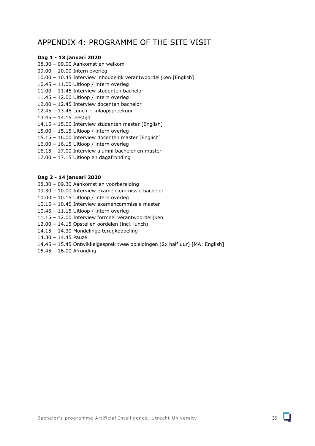# <span id="page-38-0"></span>APPENDIX 4: PROGRAMME OF THE SITE VISIT

### **Dag 1 - 13 januari 2020**

- 08.30 09.00 Aankomst en welkom
- 09.00 10.00 Intern overleg
- 10.00 10.45 Interview inhoudelijk verantwoordelijken [English]
- 10.45 11.00 Uitloop / intern overleg
- 11.00 11.45 Interview studenten bachelor
- 11.45 12.00 Uitloop / intern overleg
- 12.00 12.45 Interview docenten bachelor
- 12.45 13.45 Lunch + inloopspreekuur
- 13.45 14.15 leestijd
- 14.15 15.00 Interview studenten master [English]
- 15.00 15.15 Uitloop / intern overleg
- 15.15 16.00 Interview docenten master [English]
- 16.00 16.15 Uitloop / intern overleg
- 16.15 17.00 Interview alumni bachelor en master
- 17.00 17.15 Uitloop en dagafronding

### **Dag 2 - 14 januari 2020**

- 08.30 09.30 Aankomst en voorbereiding
- 09.30 10.00 Interview examencommissie bachelor
- 10.00 10.15 Uitloop / intern overleg
- 10.15 10.45 Interview examencommissie master
- 10.45 11.15 Uitloop / intern overleg
- 11.15 12.00 Interview formeel verantwoordelijken
- 12.00 14.15 Opstellen oordelen (incl. lunch)
- 14.15 14.30 Mondelinge terugkoppeling
- 14.30 14.45 Pauze
- 14.45 15.45 Ontwikkelgesprek twee opleidingen (2x half uur) [MA: English]
- 15.45 16.00 Afronding